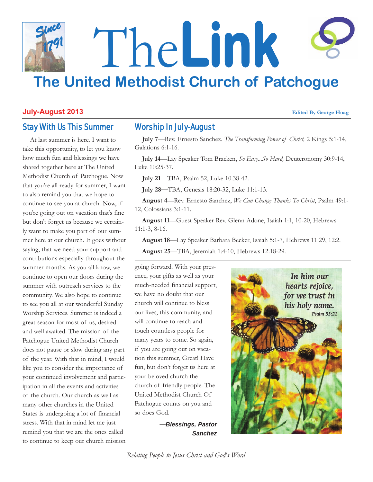## The**Link The United Methodist Church of Patchogue** *Since 1791*

#### **July-August 2013 Edited By George Hoag**

### Stay With Us This Summer

At last summer is here. I want to take this opportunity, to let you know how much fun and blessings we have shared together here at The United Methodist Church of Patchogue. Now that you're all ready for summer, I want to also remind you that we hope to continue to see you at church. Now, if you're going out on vacation that's fine but don't forget us because we certainly want to make you part of our summer here at our church. It goes without saying, that we need your support and contributions especially throughout the summer months. As you all know, we continue to open our doors during the summer with outreach services to the community. We also hope to continue to see you all at our wonderful Sunday Worship Services. Summer is indeed a great season for most of us, desired and well awaited. The mission of the Patchogue United Methodist Church does not pause or slow during any part of the year. With that in mind, I would like you to consider the importance of your continued involvement and participation in all the events and activities of the church. Our church as well as many other churches in the United States is undergoing a lot of financial stress. With that in mind let me just remind you that we are the ones called to continue to keep our church mission

#### Worship In July-August

**July 7**—Rev. Ernesto Sanchez. *The Transforming Power of Christ,* 2 Kings 5:1-14, Galations 6:1-16.

**July 14**—Lay Speaker Tom Bracken, *So Easy...So Hard,* Deuteronomy 30:9-14, Luke 10:25-37.

**July 21**—TBA, Psalm 52, Luke 10:38-42.

**July 28—**TBA, Genesis 18:20-32, Luke 11:1-13.

**August 4**—Rev. Ernesto Sanchez, *We Can Change Thanks To Christ*, Psalm 49:1- 12, Colossians 3:1-11.

**August 11**—Guest Speaker Rev. Glenn Adone, Isaiah 1:1, 10-20, Hebrews 11:1-3, 8-16.

**August 18**—Lay Speaker Barbara Becker, Isaiah 5:1-7, Hebrews 11:29, 12:2.

**August 25**—TBA, Jeremiah 1:4-10, Hebrews 12:18-29.

going forward. With your presence, your gifts as well as your much-needed financial support, we have no doubt that our church will continue to bless our lives, this community, and will continue to reach and touch countless people for many years to come. So again, if you are going out on vacation this summer, Great! Have fun, but don't forget us here at your beloved church the church of friendly people. The United Methodist Church Of Patchogue counts on you and so does God.

> *—Blessings, Pastor Sanchez*



*Relating People to Jesus Christ and God's Word*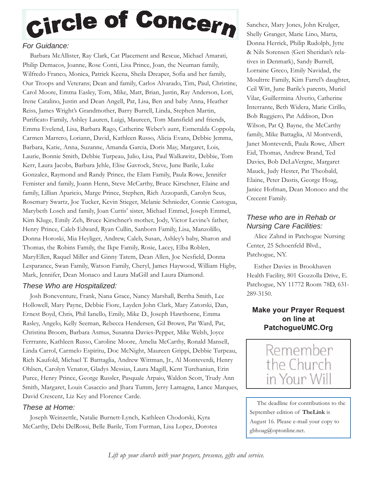## Circle of Concern

#### *For Guidance:*

Barbara McAllister, Ray Clark, Cat Placement and Rescue, Michael Amarati, Philip Demacos, Joanne, Rose Conti, Lisa Prince, Joan, the Neuman family, Wilfredo Franco, Monica, Patrick Keena, Sheila Dreaper, Sofia and her family, Our Troops and Veterans; Dean and family, Carlos Alvarado, Tim, Paul, Christine, Carol Moore, Emma Easley, Tom, Mike, Matt, Brian, Justin, Ray Anderson, Lori, Irene Catalino, Justin and Dean Angell, Pat, Lisa, Ben and baby Anna, Heather Reiss, James Wright's Grandmother, Barry Burrell, Linda, Stephen Martin, Purificato Family, Ashley Lauren, Luigi, Maureen, Tom Mansfield and friends, Emma Evelend, Lisa, Barbara Rago, Catherine Weber's aunt, Esmeralda Coppola, Carmen Marrero, Loriann, David, Kathleen Russo, Alicia Evans, Debbie Jemma, Barbara, Katie, Anna, Suzanne, Amanda Garcia, Doris May, Margaret, Lois, Laurie, Bonnie Smith, Debbie Turpeau, Julio, Lisa, Paul Walkawitz, Debbie, Tom Kerr, Laura Jacobs, Barbara Jehle, Elise Gavrock, Steve, June Barile, Luke Gonzalez, Raymond and Randy Prince, the Elam Family, Paula Rowe, Jennifer Femister and family, Joann Henn, Steve McCarthy, Bruce Kirschner, Elaine and family, Lillian Aparicio, Marge Prince, Stephen, Rich Azzopardi, Carolyn Seus, Rosemary Swartz, Joe Tucker, Kevin Stieger, Melanie Schnieder, Connie Castogua, Marybeth Losch and family, Joan Curtis' sister, Michael Emmel, Joseph Emmel, Kim Kluge, Emily Zeh, Bruce Kirschner's mother, Jody, Victor Levine's father, Henry Prince, Caleb Edward, Ryan Cullin, Sanborn Family, Lisa, Manzolillo, Donna Horoski, Mia Heyliger, Andrew, Caleb, Susan, Ashley's baby, Sharon and Thomas, the Robins Family, the Ikpe Family, Rosie, Lacey, Elba Roblen, MaryEllen, Raquel Miller and Ginny Tatem, Dean Allen, Joe Nesfield, Donna Lesparance, Swan Family, Watson Family, Cheryl, James Haywood, William Higby, Mark, Jennifer, Dean Monaco and Laura MaGill and Laura Diamond.

#### *These Who are Hospitalized:*

Josh Boneventure, Frank, Nana Grace, Nancy Marshall, Bertha Smith, Lee Hollowell, Mary Payne, Debbie Fiore, Layden John Clark, Mary Zatorski, Dan, Ernest Boyd, Chris, Phil Ianello, Emily, Mike D., Joseph Hawthorne, Emma Rasley, Angelo, Kelly Seeman, Rebecca Hendersen, Gil Brown, Pat Ward, Pat, Christina Broom, Barbara Asmus, Susanna Davies-Pepper, Mike Welsh, Joyce Ferrrante, Kathleen Russo, Caroline Moore, Amelia McCarthy, Ronald Mansell, Linda Carrol, Carmelo Espiritu, Doc McNight, Maureen Grippi, Debbie Turpeau, Rich Kaufold, Michael T. Batttaglia, Andrew Wittman, Jr., Al Monteverdi, Henry Ohlsen, Carolyn Venator, Gladys Messias, Laura Magill, Kent Turchaniun, Erin Purce, Henry Prince, George Russler, Pasquale Arpaio, Waldon Scott, Trudy Ann Smith, Margaret, Louis Casaccio and Jhara Tumm, Jerry Lamagna, Lance Marques, David Crescent, Liz Key and Florence Carde.

#### *These at Home:*

Joseph Weinzettle, Natalie Burnett-Lynch, Kathleen Chodorski, Kyra McCarthy, Debi DelRossi, Belle Barile, Tom Furman, Lisa Lopez, Dorotea

Sanchez, Mary Jones, John Krulger, Shelly Granger, Marie Lino, Marta, Donna Herrick, Philip Rudolph, Jytte & Nils Sorensen (Geri Sheridan's relatives in Denmark), Sandy Burrell, Lorraine Greco, Emily Navidad, the Moultrre Family, Kim Farrel's daughter, Ceil Witt, June Barile's parents, Muriel Vilar, Guillermina Alverio, Catherine Interrante, Beth Widera, Marie Cirillo, Bob Ruggiero, Pat Addison, Don Wilson, Pat Q. Bayne, the McCarthy family, Mike Battaglia, Al Montverdi, Janet Monteverdi, Paula Rowe, Albert Eid, Thomas, Andrew Brand, Ted Davies, Bob DeLaVergne, Margaret Mauck, Judy Hester, Pat Theobald, Elaine, Peter Dastis, George Hoag, Janice Hofman, Dean Monoco and the Crecent Family.

#### *These who are in Rehab or Nursing Care Facilities:*

Alice Zahnd in Patchogue Nursing Center, 25 Schoenfeld Blvd., Patchogue, NY.

Esther Davies in Brookhaven Health Facility, 801 Gozzolla Drive, E. Patchogue, NY 11772 Room 78D, 631- 289-3150.

#### **Make your Prayer Request on line at PatchogueUMC.Org**



The deadline for contributions to the September edition of **TheLink** is August 16. Please e-mail your copy to gbhoag@optonline.net.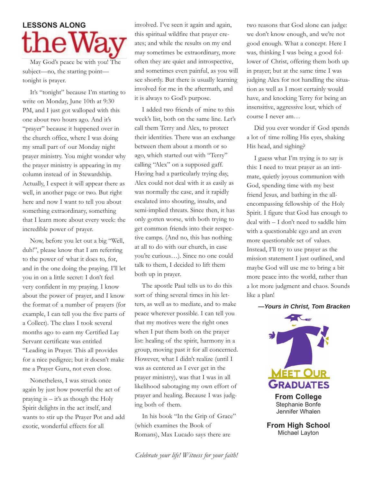# **LESSONS** ALONG

May God's peace be with you! The subject—no, the starting point tonight is prayer.

It's "tonight" because I'm starting to write on Monday, June 10th at 9:30 PM, and I just got walloped with this one about two hours ago. And it's "prayer" because it happened over in the church office, where I was doing my small part of our Monday night prayer ministry. You might wonder why the prayer ministry is appearing in my column instead of in Stewardship. Actually, I expect it will appear there as well, in another page or two. But right here and now I want to tell you about something extraordinary, something that I learn more about every week: the incredible power of prayer.

Now, before you let out a big "Well, duh!", please know that I am referring to the power of what it does to, for, and in the one doing the praying. I'll let you in on a little secret: I don't feel very confident in my praying. I know about the power of prayer, and I know the format of a number of prayers (for example, I can tell you the five parts of a Collect). The class I took several months ago to earn my Certified Lay Servant certificate was entitled "Leading in Prayer. This all provides for a nice pedigree; but it doesn't make me a Prayer Guru, not even close.

Nonetheless, I was struck once again by just how powerful the act of praying is – it's as though the Holy Spirit delights in the act itself, and wants to stir up the Prayer Pot and add exotic, wonderful effects for all

involved. I've seen it again and again, this spiritual wildfire that prayer creates; and while the results on my end may sometimes be extraordinary, more often they are quiet and introspective, and sometimes even painful, as you will see shortly. But there is usually learning involved for me in the aftermath, and it is always to God's purpose.

I added two friends of mine to this week's list, both on the same line. Let's call them Terry and Alex, to protect their identities. There was an exchange between them about a month or so ago, which started out with "Terry" calling "Alex" on a supposed gaff. Having had a particularly trying day, Alex could not deal with it as easily as was normally the case, and it rapidly escalated into shouting, insults, and semi-implied threats. Since then, it has only gotten worse, with both trying to get common friends into their respective camps. (And no, this has nothing at all to do with our church, in case you're curious…). Since no one could talk to them, I decided to lift them both up in prayer.

The apostle Paul tells us to do this sort of thing several times in his letters, as well as to mediate, and to make peace wherever possible. I can tell you that my motives were the right ones when I put them both on the prayer list: healing of the spirit, harmony in a group, moving past it for all concerned. However, what I didn't realize (until I was as centered as I ever get in the prayer ministry), was that I was in all likelihood sabotaging my own effort of prayer and healing. Because I was judging both of them.

In his book "In the Grip of Grace" (which examines the Book of Romans), Max Lucado says there are

two reasons that God alone can judge: we don't know enough, and we're not good enough. What a concept. Here I was, thinking I was being a good follower of Christ, offering them both up in prayer; but at the same time I was judging Alex for not handling the situation as well as I most certainly would have, and knocking Terry for being an insensitive, aggressive lout, which of course I never am…

Did you ever wonder if God spends a lot of time rolling His eyes, shaking His head, and sighing?

I guess what I'm trying is to say is this: I need to treat prayer as an intimate, quietly joyous communion with God, spending time with my best friend Jesus, and bathing in the allencompassing fellowship of the Holy Spirit. I figure that God has enough to deal with – I don't need to saddle him with a questionable ego and an even more questionable set of values. Instead, I'll try to use prayer as the mission statement I just outlined, and maybe God will use me to bring a bit more peace into the world, rather than a lot more judgment and chaos. Sounds like a plan!





Stephanie Bonfe Jennifer Whalen

**From High School** Michael Layton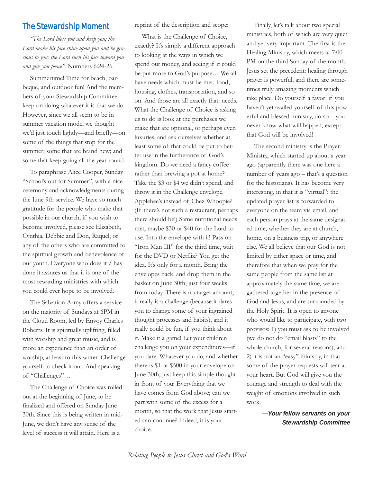#### The Stewardship Moment

*"The Lord bless you and keep you; the Lord make his face shine upon you and be gracious to you; the Lord turn his face toward you and give you peace".* Numbers 6:24-26.

Summertime! Time for beach, barbeque, and outdoor fun! And the members of your Stewardship Committee keep on doing whatever it is that we do. However, since we all seem to be in summer vacation mode, we thought we'd just touch lightly—and briefly—on some of the things that stop for the summer; some that are brand new; and some that keep going all the year round.

To paraphrase Alice Cooper, Sunday "School's out for Summer", with a nice ceremony and acknowledgments during the June 9th service. We have so much gratitude for the people who make that possible in our church; if you wish to become involved, please see Elizabeth, Cynthia, Debbie and Don, Raquel, or any of the others who are committed to the spiritual growth and benevolence of our youth. Everyone who does it / has done it assures us that it is one of the most rewarding ministries with which you could ever hope to be involved.

The Salvation Army offers a service on the majority of Sundays at 6PM in the Cloud Room, led by Envoy Charles Roberts. It is spiritually uplifting, filled with worship and great music, and is more an experience than an order of worship, at least to this writer. Challenge yourself to check it out. And speaking of "Challenges"…

The Challenge of Choice was rolled out at the beginning of June, to be finalized and offered on Sunday June 30th. Since this is being written in mid-June, we don't have any sense of the level of success it will attain. Here is a

reprint of the description and scope:

What is the Challenge of Choice, exactly? It's simply a different approach to looking at the ways in which we spend our money, and seeing if it could be put more to God's purpose… We all have needs which must be met: food, housing, clothes, transportation, and so on. And those are all exactly that: needs. What the Challenge of Choice is asking us to do is look at the purchases we make that are optional, or perhaps even luxuries, and ask ourselves whether at least some of that could be put to better use in the furtherance of God's kingdom. Do we need a fancy coffee rather than brewing a pot at home? Take the \$3 or \$4 we didn't spend, and throw it in the Challenge envelope. Applebee's instead of Chez Whoopie? (If there's not such a restaurant, perhaps there should be!) Same nutritional needs met, maybe \$30 or \$40 for the Lord to use. Into the envelope with it! Pass on "Iron Man III" for the third time, wait for the DVD or Netflix? You get the idea. It's only for a month. Bring the envelopes back, and drop them in the basket on June 30th, just four weeks from today. There is no target amount, it really is a challenge (because it dares you to change some of your ingrained thought processes and habits), and it really could be fun, if you think about it. Make it a game! Let your children challenge you on your expenditures—if you dare. Whatever you do, and whether there is \$1 or \$500 in your envelope on June 30th, just keep this simple thought in front of you: Everything that we have comes from God above; can we part with some of the excess for a month, so that the work that Jesus started can continue? Indeed, it is your choice.

Finally, let's talk about two special ministries, both of which are very quiet and yet very important. The first is the Healing Ministry, which meets at 7:00 PM on the third Sunday of the month. Jesus set the precedent: healing through prayer is powerful, and there are sometimes truly amazing moments which take place. Do yourself a favor: if you haven't yet availed yourself of this powerful and blessed ministry, do so – you never know what will happen, except that God will be involved!

The second ministry is the Prayer Ministry, which started up about a year ago (apparently there was one here a number of years ago – that's a question for the historians). It has become very interesting, in that it is "virtual": the updated prayer list is forwarded to everyone on the team via email, and each person prays at the same designated time, whether they are at church, home, on a business trip, or anywhere else. We all believe that our God is not limited by either space or time, and therefore that when we pray for the same people from the same list at approximately the same time, we are gathered together in the presence of God and Jesus, and are surrounded by the Holy Spirit. It is open to anyone who would like to participate, with two provisos: 1) you must ask to be involved (we do not do "email blasts" to the whole church, for several reasons); and 2) it is not an "easy" ministry, in that some of the prayer requests will tear at your heart. But God will give you the courage and strength to deal with the weight of emotions involved in such work.

> *—Your fellow servants on your Stewardship Committee*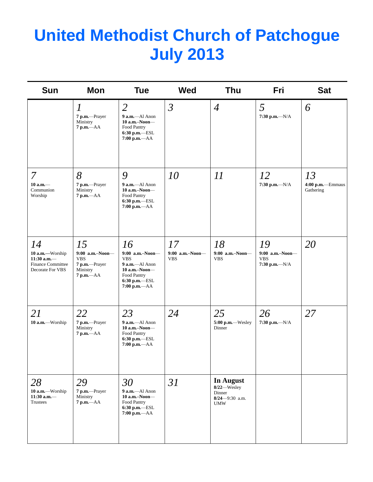## **United Methodist Church of Patchogue July 2013**

| <b>Sun</b>                                                                             | Mon                                                                                | <b>Tue</b>                                                                                                                      | <b>Wed</b>                          | <b>Thu</b>                                                                    | Fri                                                          | <b>Sat</b>                          |
|----------------------------------------------------------------------------------------|------------------------------------------------------------------------------------|---------------------------------------------------------------------------------------------------------------------------------|-------------------------------------|-------------------------------------------------------------------------------|--------------------------------------------------------------|-------------------------------------|
|                                                                                        | $\boldsymbol{l}$<br>7 p.m.-Prayer<br>Ministry<br>$7 p.m. -AA$                      | $\overline{2}$<br>$9$ a.m.-Al Anon<br>$10$ a.m.-Noon-<br>Food Pantry<br>$6:30$ p.m.-ESL<br>7:00 p.m.-- AA                       | $\mathfrak{Z}$                      | $\overline{4}$                                                                | 5<br>7:30 p.m.- $N/A$                                        | 6                                   |
| 7<br>$10$ a.m. $-$<br>Communion<br>Worship                                             | 8<br>7 p.m.-Prayer<br>Ministry<br>$7 p.m. -AA$                                     | 9<br>9 a.m.-Al Anon<br>$10$ a.m.-Noon-<br>Food Pantry<br>$6:30$ p.m.-ESL<br>$7:00 p.m. -AA$                                     | 10                                  | $\varPi$                                                                      | 12<br>$7:30$ p.m.- $-N/A$                                    | 13<br>4:00 p.m.-Emmaus<br>Gathering |
| 14<br>10 a.m.-Worship<br>$11:30$ a.m.-<br><b>Finance Committee</b><br>Decorate For VBS | 15<br>$9:00$ a.m.-Noon-<br><b>VBS</b><br>7 p.m.-Prayer<br>Ministry<br>$7 p.m. -AA$ | 16<br>$9:00$ a.m.-Noon-<br><b>VBS</b><br>$9$ a.m.-Al Anon<br>$10$ a.m.-Noon-<br>Food Pantry<br>6:30 p.m.-ESL<br>$7:00 p.m. -AA$ | 17<br>9:00 a.m.-Noon-<br><b>VBS</b> | 18<br>$9:00$ a.m.-Noon-<br><b>VBS</b>                                         | 19<br>$9:00$ a.m.-Noon-<br><b>VBS</b><br>$7:30$ p.m.- $-N/A$ | 20                                  |
| 21<br>10 a.m.-Worship                                                                  | 22<br>7 p.m.-Prayer<br>Ministry<br>$7 p.m. -AA$                                    | 23<br>9 a.m.-Al Anon<br>10 a.m.-Noon-<br>Food Pantry<br>$6:30$ p.m.-ESL<br>$7:00 p.m. -AA$                                      | 24                                  | 25<br>5:00 p.m.-Wesley<br>Dinner                                              | 26<br>$7:30$ p.m.- $-N/A$                                    | 27                                  |
| 28<br>10 a.m.-Worship<br>$11:30$ a.m.-<br>Trustees                                     | 29<br>7 p.m.-Prayer<br>Ministry<br>$7$ p.m.- $AA$                                  | 30<br>9 a.m.-Al Anon<br>$10$ a.m.-Noon-<br>Food Pantry<br>6:30 p.m.-ESL<br>$7:00$ p.m.- $AA$                                    | 31                                  | <b>In August</b><br>8/22-Wesley<br>Dinner<br>$8/24 - 9:30$ a.m.<br><b>UMW</b> |                                                              |                                     |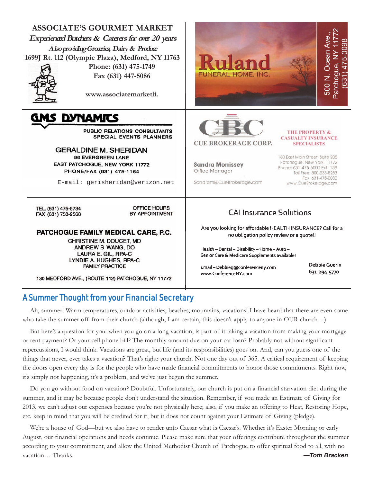| <b>ASSOCIATE'S GOURMET MARKET</b><br><b>Experienced Butchers &amp; Caterers for over 20 years</b><br>A lso providing Groaries, Dairy & Produce<br>1699J Rt. 112 (Olympic Plaza), Medford, NY 11763<br>Phone: (631) 475-1749<br>Fax (631) 447-5086<br>www.associatemarketli.                          | Ruland<br>ä<br><b>FUNERAL HOME, INC.</b><br><u>ნ</u>                                                                                                                                                                                                                                                                                                        | င်္က |  |
|------------------------------------------------------------------------------------------------------------------------------------------------------------------------------------------------------------------------------------------------------------------------------------------------------|-------------------------------------------------------------------------------------------------------------------------------------------------------------------------------------------------------------------------------------------------------------------------------------------------------------------------------------------------------------|------|--|
| GMS DYNAMITS<br>PUBLIC RELATIONS CONSULTANTS<br><b>SPECIAL EVENTS PLANNERS</b><br><b>GERALDINE M. SHERIDAN</b><br>96 EVERGREEN LANE<br>EAST PATCHOGUE, NEW YORK 11772<br>PHONE/FAX (631) 475-1164<br>E-mail: gerisheridan@verizon.net                                                                | <b>THE PROPERTY &amp;</b><br><b>CASUALTY INSURANCE</b><br><b>CUE BROKERAGE CORP.</b><br><b>SPECIALISTS</b><br>180 East Main Street, Suite 205<br>Patchoque, New York 11772<br><b>Sandra Morrissey</b><br>Phone: 631-475-6000 Ext. 139<br>Office Manager<br>Toll Free: 800-233-8283<br>Fax: 631-475-0030<br>Sandram@CueBrokerage.com<br>www.CueBrokerage.com |      |  |
| OFFICE HOURS<br>TEL. (631) 475-5734<br>BY APPOINTMENT<br>FAX (631) 758-2568<br>PATCHOGUE FAMILY MEDICAL CARE, P.C.<br>CHRISTINE M. DOUCET, MD<br>ANDREW S. WANG, DO<br>LAURA E. GIL, RPA-C<br>LYNDIE A. HUGHES, RPA-C<br><b>FAMILY PRACTICE</b><br>130 MEDFORD AVE., (ROUTE 112) PATCHOGUE, NY 11772 | <b>CAI Insurance Solutions</b><br>Are you looking for affordable HEALTH INSURANCE? Call for a<br>no obligation policy review or a quote!!<br>Health - Dental - Disability - Home - Auto -<br>Senior Care & Medicare Supplements available!<br>Debbie Guerin<br>Email-Debbieg@conferenceny.com<br>631-294-5770<br>www.ConferenceNY.com                       |      |  |

#### A Summer Thought from your Financial Secretary

Ah, summer! Warm temperatures, outdoor activities, beaches, mountains, vacations! I have heard that there are even some who take the summer off from their church (although, I am certain, this doesn't apply to anyone in OUR church...)

But here's a question for you: when you go on a long vacation, is part of it taking a vacation from making your mortgage or rent payment? Or your cell phone bill? The monthly amount due on your car loan? Probably not without significant repercussions, I would think. Vacations are great, but life (and its responsibilities) goes on. And, can you guess one of the things that never, ever takes a vacation? That's right: your church. Not one day out of 365. A critical requirement of keeping the doors open every day is for the people who have made financial commitments to honor those commitments. Right now, it's simply not happening, it's a problem, and we've just begun the summer.

Do you go without food on vacation? Doubtful. Unfortunately, our church is put on a financial starvation diet during the summer, and it may be because people don't understand the situation. Remember, if you made an Estimate of Giving for 2013, we can't adjust our expenses because you're not physically here; also, if you make an offering to Heat, Restoring Hope, etc. keep in mind that you will be credited for it, but it does not count against your Estimate of Giving (pledge).

We're a house of God—but we also have to render unto Caesar what is Caesar's. Whether it's Easter Morning or early August, our financial operations and needs continue. Please make sure that your offerings contribute throughout the summer according to your commitment, and allow the United Methodist Church of Patchogue to offer spiritual food to all, with no vacation… Thanks. *—Tom Bracken*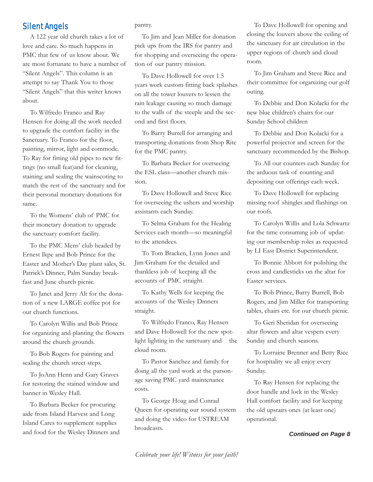#### Silent Angels

A 122 year old church takes a lot of love and care. So much happens in PMC that few of us know about. We are most fortunate to have a number of "Silent Angels". This column is an attempt to say Thank You to those "Silent Angels" that this writer knows about.

To Wilfredo Franco and Ray Hensen for doing all the work needed to upgrade the comfort facility in the Sanctuary. To Franco for the floor, painting, mirror, light and commode. To Ray for fitting old pipes to new fittings (no small feat)and for cleaning, staining and sealing the wainscoting to match the rest of the sanctuary and for their personal monetary donations for same.

To the Womens' club of PMC for their monetary donation to upgrade the sanctuary comfort facility.

To the PMC Mens' club headed by Ernest Ikpe and Bob Prince for the Easter and Mother's Day plant sales, St. Patrick's Dinner, Palm Sunday breakfast and June church picnic.

To Janet and Jerry Alt for the donation of a new LARGE coffee pot for our church functions.

To Carolyn Willis and Bob Prince for organizing and planting the flowers around the church grounds.

To Bob Rogers for painting and sealing the church street steps.

To JoAnn Henn and Gary Graves for restoring the stained window and banner in Wesley Hall.

To Barbara Becker for procuring aide from Island Harvest and Long Island Cares to supplement supplies and food for the Wesley Dinners and pantry.

To Jim and Jean Miller for donation pick ups from the IRS for pantry and for shopping and overseeing the operation of our pantry mission.

To Dave Hollowell for over 1.5 years work custom fitting back splashes on all the tower louvers to lessen the rain leakage causing so much damage to the walls of the steeple and the second and first floors.

To Barry Burrell for arranging and transporting donations from Shop Rite for the PMC pantry.

To Barbara Becker for overseeing the ESL class—another church mission.

To Dave Hollowell and Steve Rice for overseeing the ushers and worship assistants each Sunday.

To Selma Graham for the Healing Services each month—so meaningful to the attendees.

To Tom Bracken, Lynn Jones and Jim Graham for the detailed and thankless job of keeping all the accounts of PMC straight.

To Kathy Wells for keeping the accounts of the Wesley Dinners straight.

To Wilfredo Franco, Ray Hensen and Dave Hollowell for the new spotlight lighting in the sanctuary and the cloud room.

To Pastor Sanchez and family for doing all the yard work at the parsonage saving PMC yard maintenance costs.

To George Hoag and Conrad Queen for operating our sound system and doing the video for USTREAM broadcasts.

To Dave Hollowell for opening and closing the louvers above the ceiling of the sanctuary for air circulation in the upper regions of church and cloud room.

To Jim Graham and Steve Rice and their committee for organizing our golf outing.

To Debbie and Don Kolacki for the new blue children's chairs for our Sunday School children

To Debbie and Don Kolacki for a powerful projector and screen for the sanctuary recommended by the Bishop.

To All our counters each Sunday for the arduous task of counting and depositing our offerings each week.

To Dave Hollowell for replacing missing roof shingles and flashings on our roofs.

To Carolyn Willis and Lola Schwartz for the time consuming job of updating our membership roles as requested by LI East District Superintendent.

To Bonnie Abbott for polishing the cross and candlesticks on the altar for Easter services.

To Bob Prince, Barry Burrell, Bob Rogers, and Jim Miller for transporting tables, chairs etc. for our church picnic.

To Geri Sheridan for overseeing altar flowers and altar vespers every Sunday and church seasons.

To Lorraine Brenner and Betty Rice for hospitality we all enjoy every Sunday.

To Ray Hensen for replacing the door handle and lock in the Wesley Hall comfort facility and for keeping the old upstairs ones (at least one) operational.

#### *Continued on Page 8*